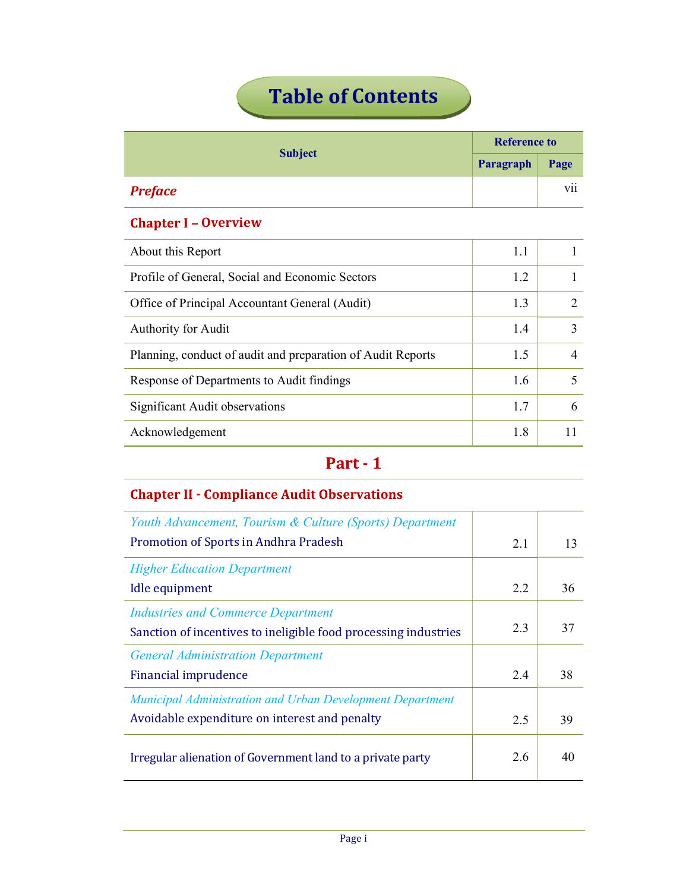# **Table of Contents**

| <b>Subject</b> | <b>Reference to</b> |                      |
|----------------|---------------------|----------------------|
|                | Paragraph           | Page                 |
| <b>Preface</b> |                     | $\cdot \cdot$<br>V11 |

## **Chapter I - Overview**

|                             | vii |  |  |
|-----------------------------|-----|--|--|
| <b>Chapter I - Overview</b> |     |  |  |
| 1.1                         |     |  |  |
| 1.2                         |     |  |  |
| 1.3                         | 2   |  |  |
| 1.4                         | 3   |  |  |
| 1.5                         | 4   |  |  |
| 1.6                         | 5   |  |  |
| 1.7                         | 6   |  |  |
| 1.8                         | 11  |  |  |
|                             |     |  |  |
|                             |     |  |  |
|                             |     |  |  |
|                             |     |  |  |

## **Chapter II - Compliance Audit Observations**

| Youth Advancement, Tourism & Culture (Sports) Department        |     |    |
|-----------------------------------------------------------------|-----|----|
| Promotion of Sports in Andhra Pradesh                           | 2.1 | 13 |
| <b>Higher Education Department</b>                              |     |    |
| Idle equipment                                                  |     | 36 |
| <b>Industries and Commerce Department</b>                       |     |    |
| Sanction of incentives to ineligible food processing industries | 2.3 | 37 |
| <b>General Administration Department</b>                        |     |    |
| <b>Financial imprudence</b>                                     |     | 38 |
| Municipal Administration and Urban Development Department       |     |    |
| Avoidable expenditure on interest and penalty                   | 2.5 | 39 |
| Irregular alienation of Government land to a private party      | 2.6 | 40 |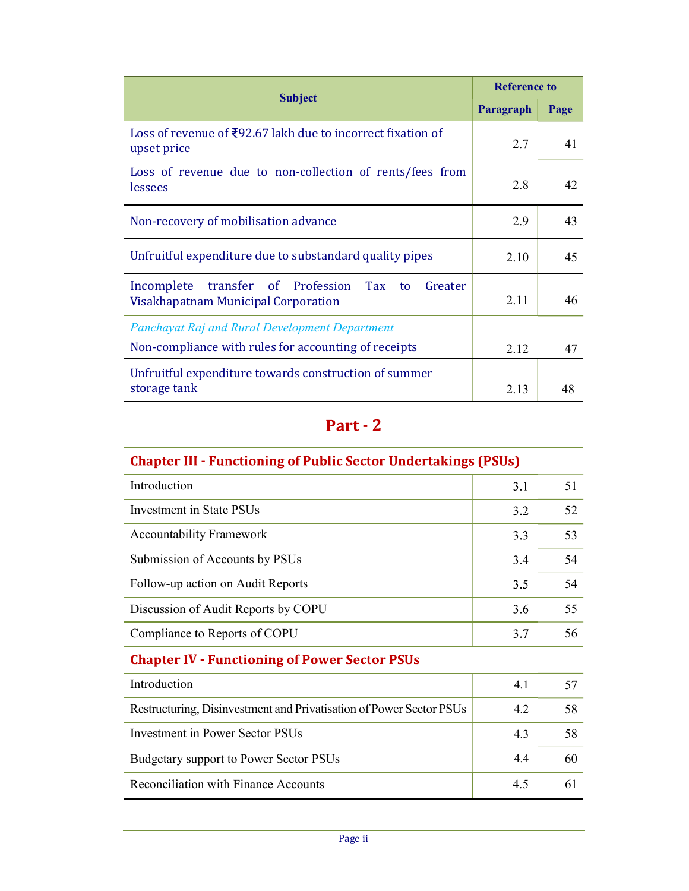| <b>Subject</b>                                                                                                |           | <b>Reference to</b> |  |
|---------------------------------------------------------------------------------------------------------------|-----------|---------------------|--|
|                                                                                                               | Paragraph | Page                |  |
| Loss of revenue of $\text{\textsterling}92.67$ lakh due to incorrect fixation of<br>upset price               | 2.7       | 41                  |  |
| Loss of revenue due to non-collection of rents/fees from<br>lessees                                           | 2.8       | 42                  |  |
| Non-recovery of mobilisation advance                                                                          |           | 43                  |  |
| Unfruitful expenditure due to substandard quality pipes                                                       | 2.10      | 45                  |  |
| Incomplete<br>transfer<br>of Profession<br>Tax<br>Greater<br>to<br>Visakhapatnam Municipal Corporation        | 2.11      | 46                  |  |
| <b>Panchayat Raj and Rural Development Department</b><br>Non-compliance with rules for accounting of receipts | 2.12      | 47                  |  |
| Unfruitful expenditure towards construction of summer<br>storage tank                                         | 2.13      | 48                  |  |
| Part - 2                                                                                                      |           |                     |  |
| <b>Chapter III - Functioning of Public Sector Undertakings (PSUs)</b>                                         |           |                     |  |
| Introduction                                                                                                  | 3.1       | 51                  |  |

| Part - 2<br><b>Chapter III - Functioning of Public Sector Undertakings (PSUs)</b><br>Introduction<br>51<br>3.1<br><b>Investment</b> in State PSUs<br>52<br>3.2<br><b>Accountability Framework</b><br>3.3<br>53<br>Submission of Accounts by PSUs<br>3.4<br>54<br>Follow-up action on Audit Reports<br>3.5<br>54<br>Discussion of Audit Reports by COPU<br>3.6<br>55<br>3.7<br>Compliance to Reports of COPU<br>56<br><b>Chapter IV - Functioning of Power Sector PSUs</b><br>Introduction<br>4.1<br>57<br>Restructuring, Disinvestment and Privatisation of Power Sector PSUs<br>4.2<br>58<br><b>Investment in Power Sector PSUs</b><br>58<br>4.3<br>Budgetary support to Power Sector PSUs<br>4.4<br>60 | Unfruitful expenditure towards construction of summer<br>storage tank | 2.13 | 48 |
|----------------------------------------------------------------------------------------------------------------------------------------------------------------------------------------------------------------------------------------------------------------------------------------------------------------------------------------------------------------------------------------------------------------------------------------------------------------------------------------------------------------------------------------------------------------------------------------------------------------------------------------------------------------------------------------------------------|-----------------------------------------------------------------------|------|----|
|                                                                                                                                                                                                                                                                                                                                                                                                                                                                                                                                                                                                                                                                                                          |                                                                       |      |    |
|                                                                                                                                                                                                                                                                                                                                                                                                                                                                                                                                                                                                                                                                                                          |                                                                       |      |    |
|                                                                                                                                                                                                                                                                                                                                                                                                                                                                                                                                                                                                                                                                                                          |                                                                       |      |    |
|                                                                                                                                                                                                                                                                                                                                                                                                                                                                                                                                                                                                                                                                                                          |                                                                       |      |    |
|                                                                                                                                                                                                                                                                                                                                                                                                                                                                                                                                                                                                                                                                                                          |                                                                       |      |    |
|                                                                                                                                                                                                                                                                                                                                                                                                                                                                                                                                                                                                                                                                                                          |                                                                       |      |    |
|                                                                                                                                                                                                                                                                                                                                                                                                                                                                                                                                                                                                                                                                                                          |                                                                       |      |    |
|                                                                                                                                                                                                                                                                                                                                                                                                                                                                                                                                                                                                                                                                                                          |                                                                       |      |    |
|                                                                                                                                                                                                                                                                                                                                                                                                                                                                                                                                                                                                                                                                                                          |                                                                       |      |    |
|                                                                                                                                                                                                                                                                                                                                                                                                                                                                                                                                                                                                                                                                                                          |                                                                       |      |    |
|                                                                                                                                                                                                                                                                                                                                                                                                                                                                                                                                                                                                                                                                                                          |                                                                       |      |    |
|                                                                                                                                                                                                                                                                                                                                                                                                                                                                                                                                                                                                                                                                                                          |                                                                       |      |    |
|                                                                                                                                                                                                                                                                                                                                                                                                                                                                                                                                                                                                                                                                                                          |                                                                       |      |    |
|                                                                                                                                                                                                                                                                                                                                                                                                                                                                                                                                                                                                                                                                                                          |                                                                       |      |    |
|                                                                                                                                                                                                                                                                                                                                                                                                                                                                                                                                                                                                                                                                                                          | Reconciliation with Finance Accounts                                  | 4.5  | 61 |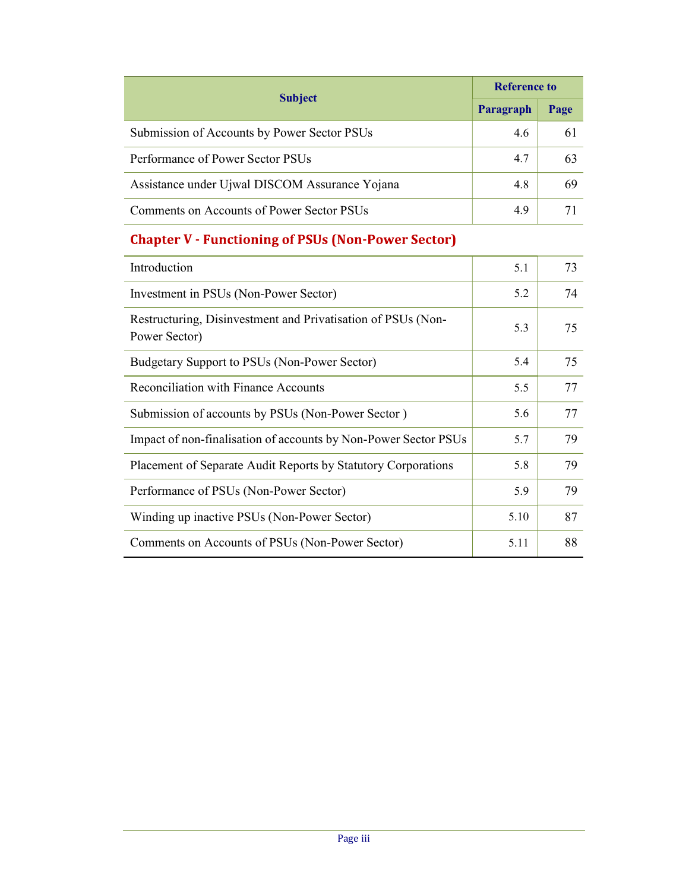| <b>Subject</b>                                            |           | <b>Reference to</b> |  |
|-----------------------------------------------------------|-----------|---------------------|--|
|                                                           | Paragraph | Page                |  |
| Submission of Accounts by Power Sector PSUs               | 4.6       | 61                  |  |
| Performance of Power Sector PSUs                          | 4.7       | 63                  |  |
| Assistance under Ujwal DISCOM Assurance Yojana            | 4.8       | 69                  |  |
| Comments on Accounts of Power Sector PSUs                 | 4.9       | 71                  |  |
| <b>Chapter V - Functioning of PSUs (Non-Power Sector)</b> |           |                     |  |
| Introduction                                              | 5.1       | 73                  |  |
|                                                           |           |                     |  |
| Investment in PSUs (Non-Power Sector)                     | 5.2       | 74                  |  |

| Introduction                                                                  | 5.1  | 73 |
|-------------------------------------------------------------------------------|------|----|
| Investment in PSUs (Non-Power Sector)                                         |      | 74 |
| Restructuring, Disinvestment and Privatisation of PSUs (Non-<br>Power Sector) |      | 75 |
| Budgetary Support to PSUs (Non-Power Sector)                                  | 5.4  | 75 |
| Reconciliation with Finance Accounts                                          |      | 77 |
| Submission of accounts by PSUs (Non-Power Sector)                             |      | 77 |
| Impact of non-finalisation of accounts by Non-Power Sector PSUs               |      | 79 |
| Placement of Separate Audit Reports by Statutory Corporations                 |      | 79 |
| Performance of PSUs (Non-Power Sector)                                        |      | 79 |
| Winding up inactive PSUs (Non-Power Sector)                                   |      | 87 |
| Comments on Accounts of PSUs (Non-Power Sector)                               | 5.11 | 88 |
|                                                                               |      |    |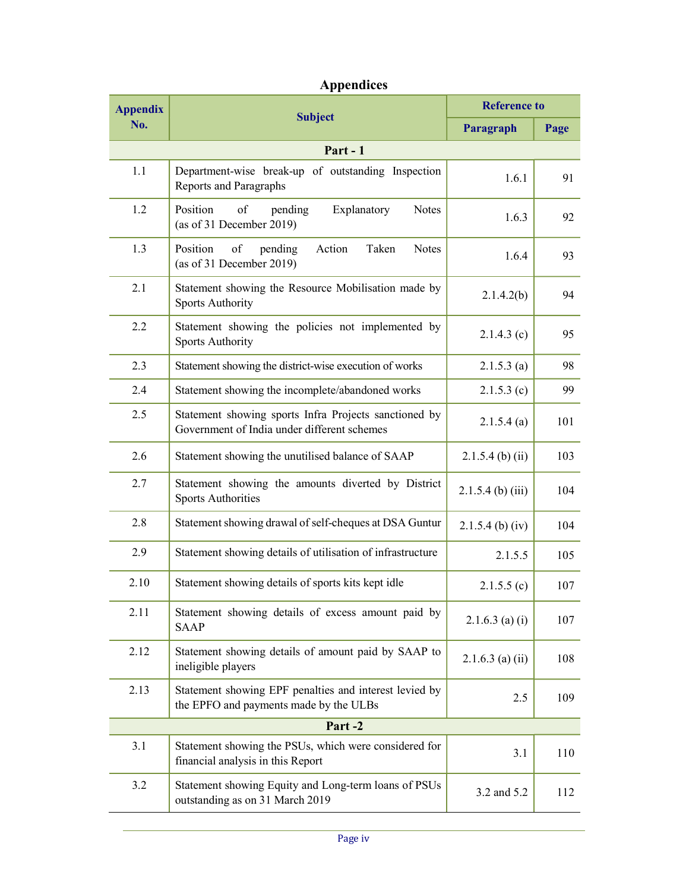## Appendices

| <b>Appendix</b> | <b>Subject</b>                                                                                       | <b>Reference to</b> |      |  |
|-----------------|------------------------------------------------------------------------------------------------------|---------------------|------|--|
| No.             |                                                                                                      | Paragraph           | Page |  |
| Part - 1        |                                                                                                      |                     |      |  |
| 1.1             | Department-wise break-up of outstanding Inspection<br>Reports and Paragraphs                         | 1.6.1               | 91   |  |
| 1.2             | Position<br>of<br>pending<br>Explanatory<br>Notes<br>(as of 31 December 2019)                        | 1.6.3               | 92   |  |
| 1.3             | Position<br>of<br>pending<br>Action<br>Taken<br><b>Notes</b><br>(as of 31 December 2019)             | 1.6.4               | 93   |  |
| 2.1             | Statement showing the Resource Mobilisation made by<br><b>Sports Authority</b>                       | 2.1.4.2(b)          | 94   |  |
| $2.2\,$         | Statement showing the policies not implemented by<br><b>Sports Authority</b>                         | $2.1.4.3$ (c)       | 95   |  |
| 2.3             | Statement showing the district-wise execution of works                                               | $2.1.5.3$ (a)       | 98   |  |
| 2.4             | Statement showing the incomplete/abandoned works                                                     | $2.1.5.3$ (c)       | 99   |  |
| 2.5             | Statement showing sports Infra Projects sanctioned by<br>Government of India under different schemes | 2.1.5.4(a)          | 101  |  |
| 2.6             | Statement showing the unutilised balance of SAAP                                                     | $2.1.5.4$ (b) (ii)  | 103  |  |
| 2.7             | Statement showing the amounts diverted by District<br><b>Sports Authorities</b>                      | $2.1.5.4$ (b) (iii) | 104  |  |
| 2.8             | Statement showing drawal of self-cheques at DSA Guntur                                               | $2.1.5.4$ (b) (iv)  | 104  |  |
| 2.9             | Statement showing details of utilisation of infrastructure                                           | 2.1.5.5             | 105  |  |
| 2.10            | Statement showing details of sports kits kept idle                                                   | 2.1.5.5(c)          | 107  |  |
| 2.11            | Statement showing details of excess amount paid by<br><b>SAAP</b>                                    | $2.1.6.3$ (a) (i)   | 107  |  |
| 2.12            | Statement showing details of amount paid by SAAP to<br>ineligible players                            | $2.1.6.3$ (a) (ii)  | 108  |  |
| 2.13            | Statement showing EPF penalties and interest levied by<br>the EPFO and payments made by the ULBs     | 2.5                 | 109  |  |
|                 | Part-2                                                                                               |                     |      |  |
| 3.1             | Statement showing the PSUs, which were considered for<br>financial analysis in this Report           | 3.1                 | 110  |  |
| 3.2             | Statement showing Equity and Long-term loans of PSUs<br>outstanding as on 31 March 2019              | 3.2 and 5.2         | 112  |  |